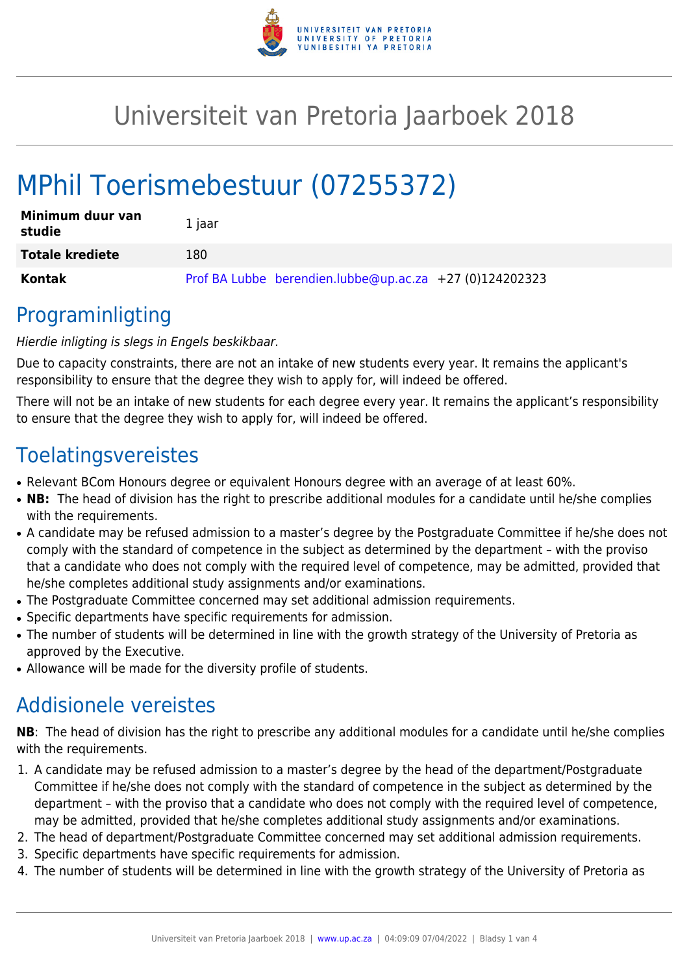

## Universiteit van Pretoria Jaarboek 2018

# MPhil Toerismebestuur (07255372)

| Minimum duur van<br>studie | 1 jaar                                                  |
|----------------------------|---------------------------------------------------------|
| <b>Totale krediete</b>     | 180                                                     |
| Kontak                     | Prof BA Lubbe berendien.lubbe@up.ac.za +27 (0)124202323 |

### Programinligting

#### Hierdie inligting is slegs in Engels beskikbaar.

Due to capacity constraints, there are not an intake of new students every year. It remains the applicant's responsibility to ensure that the degree they wish to apply for, will indeed be offered.

There will not be an intake of new students for each degree every year. It remains the applicant's responsibility to ensure that the degree they wish to apply for, will indeed be offered.

### **Toelatingsvereistes**

- Relevant BCom Honours degree or equivalent Honours degree with an average of at least 60%.
- NB: The head of division has the right to prescribe additional modules for a candidate until he/she complies with the requirements.
- A candidate may be refused admission to a master's degree by the Postgraduate Committee if he/she does not comply with the standard of competence in the subject as determined by the department – with the proviso that a candidate who does not comply with the required level of competence, may be admitted, provided that he/she completes additional study assignments and/or examinations.
- The Postgraduate Committee concerned may set additional admission requirements.
- Specific departments have specific requirements for admission.
- The number of students will be determined in line with the growth strategy of the University of Pretoria as approved by the Executive.
- Allowance will be made for the diversity profile of students.

### Addisionele vereistes

**NB**: The head of division has the right to prescribe any additional modules for a candidate until he/she complies with the requirements.

- 1. A candidate may be refused admission to a master's degree by the head of the department/Postgraduate Committee if he/she does not comply with the standard of competence in the subject as determined by the department – with the proviso that a candidate who does not comply with the required level of competence, may be admitted, provided that he/she completes additional study assignments and/or examinations.
- 2. The head of department/Postgraduate Committee concerned may set additional admission requirements.
- 3. Specific departments have specific requirements for admission.
- 4. The number of students will be determined in line with the growth strategy of the University of Pretoria as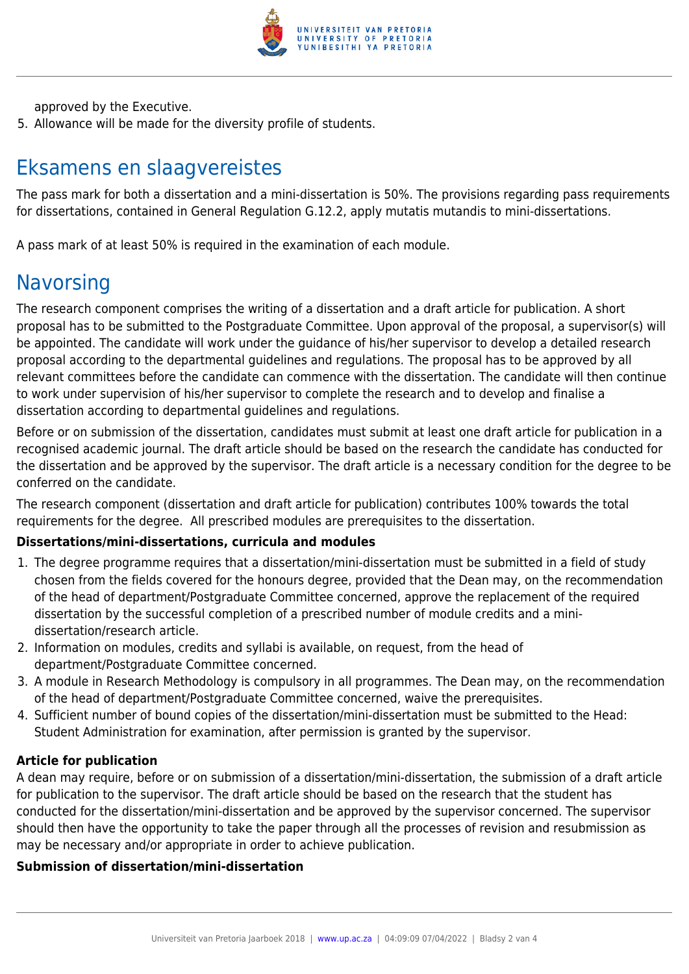

approved by the Executive.

5. Allowance will be made for the diversity profile of students.

## Eksamens en slaagvereistes

The pass mark for both a dissertation and a mini-dissertation is 50%. The provisions regarding pass requirements for dissertations, contained in General Regulation G.12.2, apply mutatis mutandis to mini-dissertations.

A pass mark of at least 50% is required in the examination of each module.

### **Navorsing**

The research component comprises the writing of a dissertation and a draft article for publication. A short proposal has to be submitted to the Postgraduate Committee. Upon approval of the proposal, a supervisor(s) will be appointed. The candidate will work under the guidance of his/her supervisor to develop a detailed research proposal according to the departmental guidelines and regulations. The proposal has to be approved by all relevant committees before the candidate can commence with the dissertation. The candidate will then continue to work under supervision of his/her supervisor to complete the research and to develop and finalise a dissertation according to departmental guidelines and regulations.

Before or on submission of the dissertation, candidates must submit at least one draft article for publication in a recognised academic journal. The draft article should be based on the research the candidate has conducted for the dissertation and be approved by the supervisor. The draft article is a necessary condition for the degree to be conferred on the candidate.

The research component (dissertation and draft article for publication) contributes 100% towards the total requirements for the degree. All prescribed modules are prerequisites to the dissertation.

#### **Dissertations/mini-dissertations, curricula and modules**

- 1. The degree programme requires that a dissertation/mini-dissertation must be submitted in a field of study chosen from the fields covered for the honours degree, provided that the Dean may, on the recommendation of the head of department/Postgraduate Committee concerned, approve the replacement of the required dissertation by the successful completion of a prescribed number of module credits and a minidissertation/research article.
- 2. Information on modules, credits and syllabi is available, on request, from the head of department/Postgraduate Committee concerned.
- 3. A module in Research Methodology is compulsory in all programmes. The Dean may, on the recommendation of the head of department/Postgraduate Committee concerned, waive the prerequisites.
- 4. Sufficient number of bound copies of the dissertation/mini-dissertation must be submitted to the Head: Student Administration for examination, after permission is granted by the supervisor.

#### **Article for publication**

A dean may require, before or on submission of a dissertation/mini-dissertation, the submission of a draft article for publication to the supervisor. The draft article should be based on the research that the student has conducted for the dissertation/mini-dissertation and be approved by the supervisor concerned. The supervisor should then have the opportunity to take the paper through all the processes of revision and resubmission as may be necessary and/or appropriate in order to achieve publication.

#### **Submission of dissertation/mini-dissertation**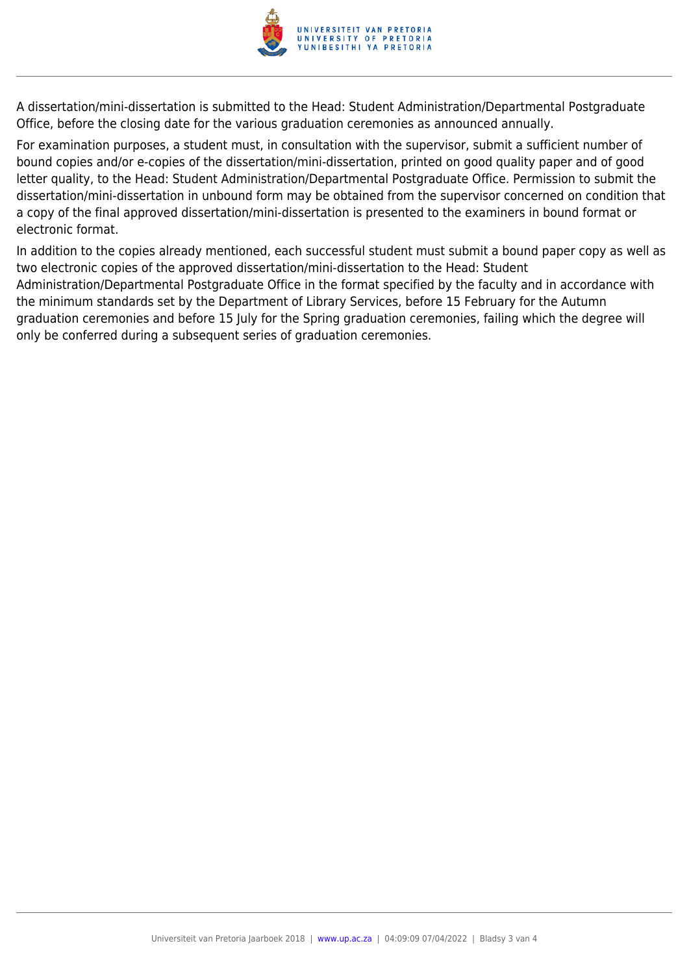

A dissertation/mini-dissertation is submitted to the Head: Student Administration/Departmental Postgraduate Office, before the closing date for the various graduation ceremonies as announced annually.

For examination purposes, a student must, in consultation with the supervisor, submit a sufficient number of bound copies and/or e-copies of the dissertation/mini-dissertation, printed on good quality paper and of good letter quality, to the Head: Student Administration/Departmental Postgraduate Office. Permission to submit the dissertation/mini-dissertation in unbound form may be obtained from the supervisor concerned on condition that a copy of the final approved dissertation/mini-dissertation is presented to the examiners in bound format or electronic format.

In addition to the copies already mentioned, each successful student must submit a bound paper copy as well as two electronic copies of the approved dissertation/mini-dissertation to the Head: Student Administration/Departmental Postgraduate Office in the format specified by the faculty and in accordance with the minimum standards set by the Department of Library Services, before 15 February for the Autumn graduation ceremonies and before 15 July for the Spring graduation ceremonies, failing which the degree will only be conferred during a subsequent series of graduation ceremonies.